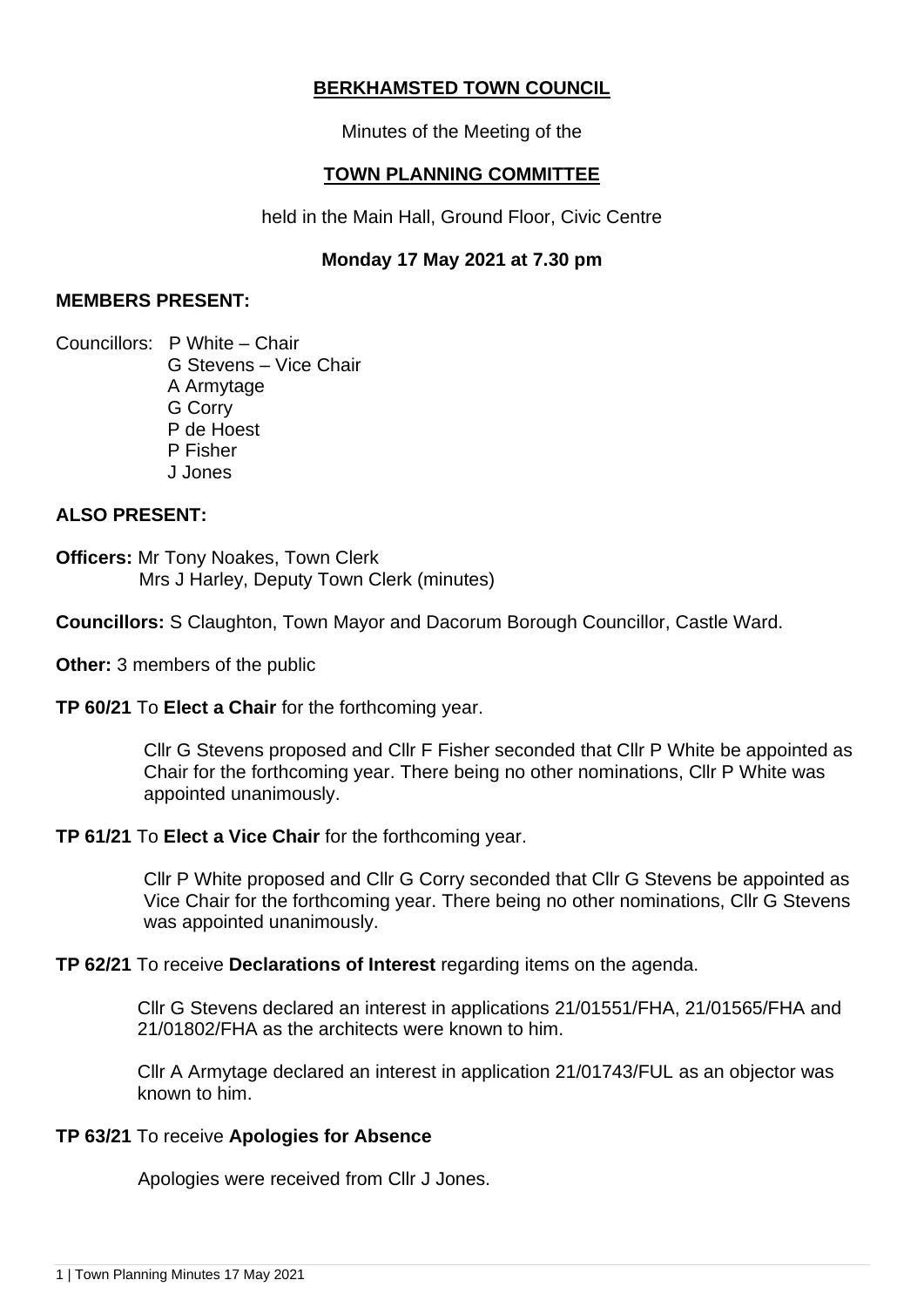# **BERKHAMSTED TOWN COUNCIL**

Minutes of the Meeting of the

# **TOWN PLANNING COMMITTEE**

held in the Main Hall, Ground Floor, Civic Centre

## **Monday 17 May 2021 at 7.30 pm**

### **MEMBERS PRESENT:**

Councillors: P White – Chair G Stevens – Vice Chair A Armytage G Corry P de Hoest P Fisher J Jones

### **ALSO PRESENT:**

**Officers:** Mr Tony Noakes, Town Clerk Mrs J Harley, Deputy Town Clerk (minutes)

**Councillors:** S Claughton, Town Mayor and Dacorum Borough Councillor, Castle Ward.

**Other:** 3 members of the public

**TP 60/21** To **Elect a Chair** for the forthcoming year.

Cllr G Stevens proposed and Cllr F Fisher seconded that Cllr P White be appointed as Chair for the forthcoming year. There being no other nominations, Cllr P White was appointed unanimously.

### **TP 61/21** To **Elect a Vice Chair** for the forthcoming year.

Cllr P White proposed and Cllr G Corry seconded that Cllr G Stevens be appointed as Vice Chair for the forthcoming year. There being no other nominations, Cllr G Stevens was appointed unanimously.

### **TP 62/21** To receive **Declarations of Interest** regarding items on the agenda.

Cllr G Stevens declared an interest in applications 21/01551/FHA, 21/01565/FHA and 21/01802/FHA as the architects were known to him.

Cllr A Armytage declared an interest in application 21/01743/FUL as an objector was known to him.

### **TP 63/21** To receive **Apologies for Absence**

Apologies were received from Cllr J Jones.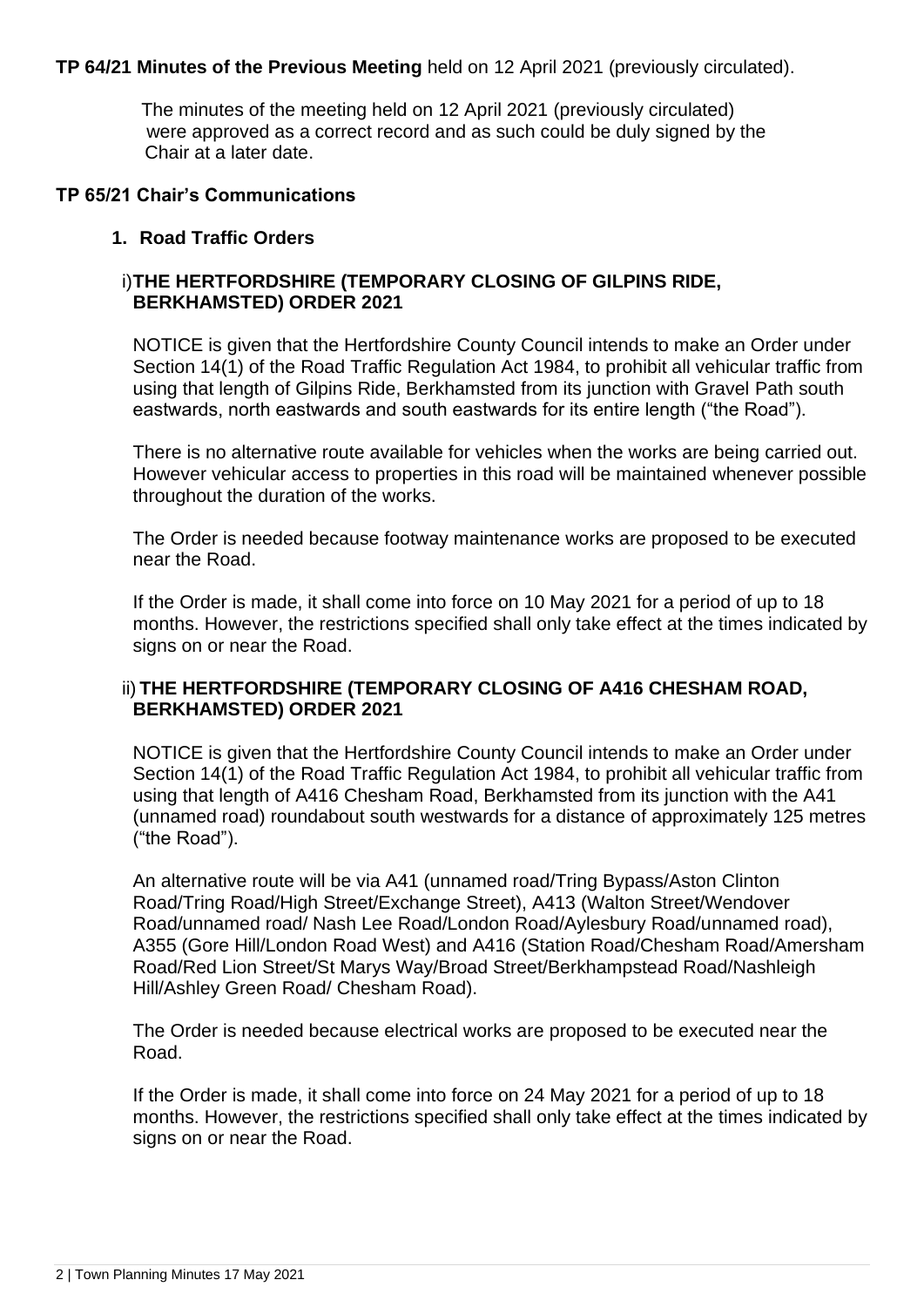### **TP 64/21 Minutes of the Previous Meeting** held on 12 April 2021 (previously circulated).

 The minutes of the meeting held on 12 April 2021 (previously circulated) were approved as a correct record and as such could be duly signed by the Chair at a later date.

#### **TP 65/21 Chair's Communications**

### **1. Road Traffic Orders**

### i)**THE HERTFORDSHIRE (TEMPORARY CLOSING OF GILPINS RIDE, BERKHAMSTED) ORDER 2021**

NOTICE is given that the Hertfordshire County Council intends to make an Order under Section 14(1) of the Road Traffic Regulation Act 1984, to prohibit all vehicular traffic from using that length of Gilpins Ride, Berkhamsted from its junction with Gravel Path south eastwards, north eastwards and south eastwards for its entire length ("the Road").

There is no alternative route available for vehicles when the works are being carried out. However vehicular access to properties in this road will be maintained whenever possible throughout the duration of the works.

The Order is needed because footway maintenance works are proposed to be executed near the Road.

If the Order is made, it shall come into force on 10 May 2021 for a period of up to 18 months. However, the restrictions specified shall only take effect at the times indicated by signs on or near the Road.

### ii) **THE HERTFORDSHIRE (TEMPORARY CLOSING OF A416 CHESHAM ROAD, BERKHAMSTED) ORDER 2021**

NOTICE is given that the Hertfordshire County Council intends to make an Order under Section 14(1) of the Road Traffic Regulation Act 1984, to prohibit all vehicular traffic from using that length of A416 Chesham Road, Berkhamsted from its junction with the A41 (unnamed road) roundabout south westwards for a distance of approximately 125 metres ("the Road").

An alternative route will be via A41 (unnamed road/Tring Bypass/Aston Clinton Road/Tring Road/High Street/Exchange Street), A413 (Walton Street/Wendover Road/unnamed road/ Nash Lee Road/London Road/Aylesbury Road/unnamed road), A355 (Gore Hill/London Road West) and A416 (Station Road/Chesham Road/Amersham Road/Red Lion Street/St Marys Way/Broad Street/Berkhampstead Road/Nashleigh Hill/Ashley Green Road/ Chesham Road).

The Order is needed because electrical works are proposed to be executed near the Road.

If the Order is made, it shall come into force on 24 May 2021 for a period of up to 18 months. However, the restrictions specified shall only take effect at the times indicated by signs on or near the Road.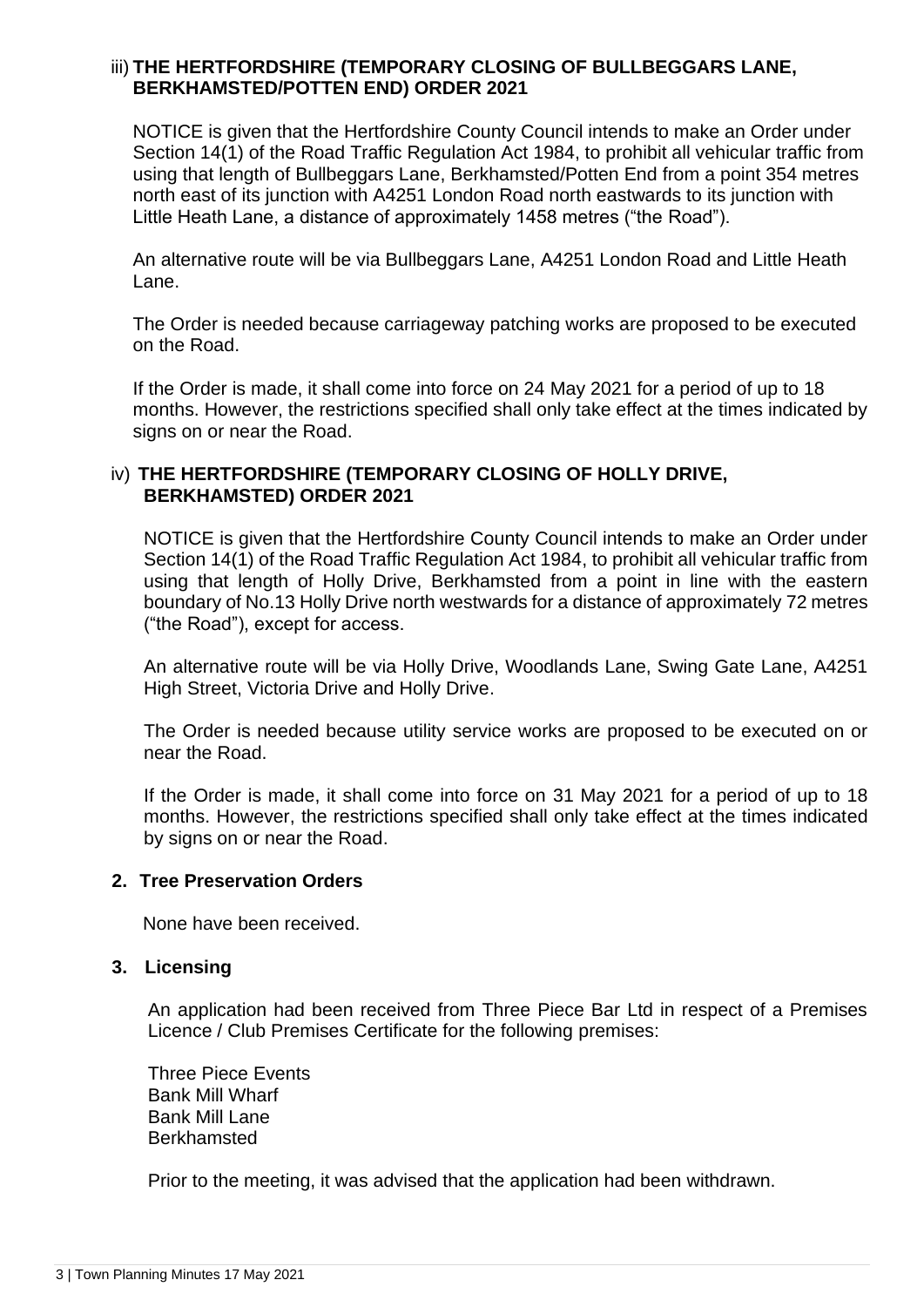#### iii) **THE HERTFORDSHIRE (TEMPORARY CLOSING OF BULLBEGGARS LANE, BERKHAMSTED/POTTEN END) ORDER 2021**

NOTICE is given that the Hertfordshire County Council intends to make an Order under Section 14(1) of the Road Traffic Regulation Act 1984, to prohibit all vehicular traffic from using that length of Bullbeggars Lane, Berkhamsted/Potten End from a point 354 metres north east of its junction with A4251 London Road north eastwards to its junction with Little Heath Lane, a distance of approximately 1458 metres ("the Road").

An alternative route will be via Bullbeggars Lane, A4251 London Road and Little Heath Lane.

The Order is needed because carriageway patching works are proposed to be executed on the Road.

If the Order is made, it shall come into force on 24 May 2021 for a period of up to 18 months. However, the restrictions specified shall only take effect at the times indicated by signs on or near the Road.

### iv) **THE HERTFORDSHIRE (TEMPORARY CLOSING OF HOLLY DRIVE, BERKHAMSTED) ORDER 2021**

NOTICE is given that the Hertfordshire County Council intends to make an Order under Section 14(1) of the Road Traffic Regulation Act 1984, to prohibit all vehicular traffic from using that length of Holly Drive, Berkhamsted from a point in line with the eastern boundary of No.13 Holly Drive north westwards for a distance of approximately 72 metres ("the Road"), except for access.

An alternative route will be via Holly Drive, Woodlands Lane, Swing Gate Lane, A4251 High Street, Victoria Drive and Holly Drive.

The Order is needed because utility service works are proposed to be executed on or near the Road.

If the Order is made, it shall come into force on 31 May 2021 for a period of up to 18 months. However, the restrictions specified shall only take effect at the times indicated by signs on or near the Road.

### **2. Tree Preservation Orders**

None have been received.

### **3. Licensing**

An application had been received from Three Piece Bar Ltd in respect of a Premises Licence / Club Premises Certificate for the following premises:

Three Piece Events Bank Mill Wharf Bank Mill Lane Berkhamsted

Prior to the meeting, it was advised that the application had been withdrawn.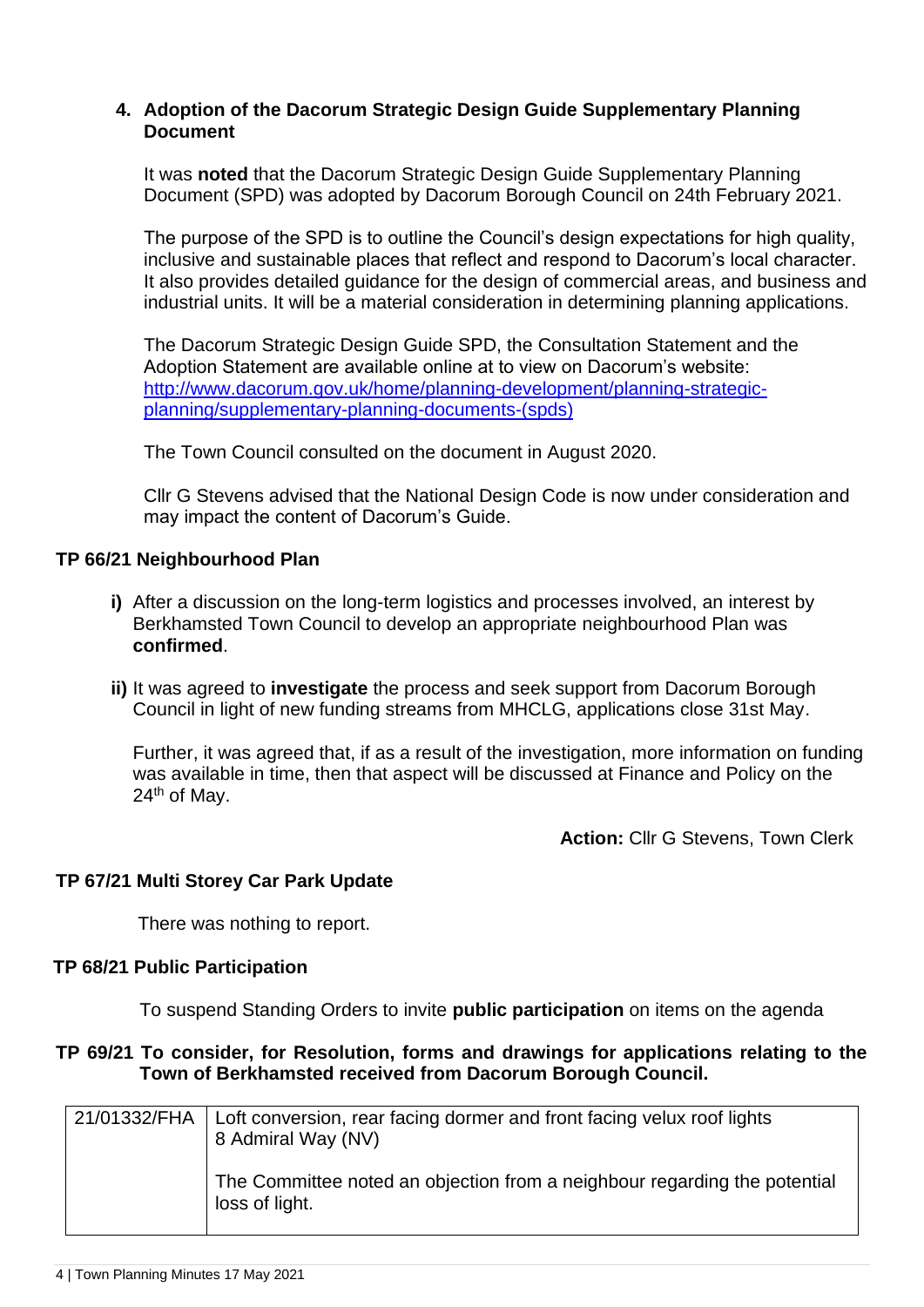### **4. Adoption of the Dacorum Strategic Design Guide Supplementary Planning Document**

It was **noted** that the Dacorum Strategic Design Guide Supplementary Planning Document (SPD) was adopted by Dacorum Borough Council on 24th February 2021.

The purpose of the SPD is to outline the Council's design expectations for high quality, inclusive and sustainable places that reflect and respond to Dacorum's local character. It also provides detailed guidance for the design of commercial areas, and business and industrial units. It will be a material consideration in determining planning applications.

The Dacorum Strategic Design Guide SPD, the Consultation Statement and the Adoption Statement are available online at to view on Dacorum's website: [http://www.dacorum.gov.uk/home/planning-development/planning-strategic](http://www.dacorum.gov.uk/home/planning-development/planning-strategic-planning/supplementary-planning-documents-(spds))[planning/supplementary-planning-documents-\(spds\)](http://www.dacorum.gov.uk/home/planning-development/planning-strategic-planning/supplementary-planning-documents-(spds))

The Town Council consulted on the document in August 2020.

Cllr G Stevens advised that the National Design Code is now under consideration and may impact the content of Dacorum's Guide.

### **TP 66/21 Neighbourhood Plan**

- **i)** After a discussion on the long-term logistics and processes involved, an interest by Berkhamsted Town Council to develop an appropriate neighbourhood Plan was **confirmed**.
- **ii)** It was agreed to **investigate** the process and seek support from Dacorum Borough Council in light of new funding streams from MHCLG, applications close 31st May.

Further, it was agreed that, if as a result of the investigation, more information on funding was available in time, then that aspect will be discussed at Finance and Policy on the 24<sup>th</sup> of May.

**Action:** Cllr G Stevens, Town Clerk

### **TP 67/21 Multi Storey Car Park Update**

There was nothing to report.

### **TP 68/21 Public Participation**

To suspend Standing Orders to invite **public participation** on items on the agenda

### **TP 69/21 To consider, for Resolution, forms and drawings for applications relating to the Town of Berkhamsted received from Dacorum Borough Council.**

| 21/01332/FHA | Loft conversion, rear facing dormer and front facing velux roof lights<br>8 Admiral Way (NV) |
|--------------|----------------------------------------------------------------------------------------------|
|              | The Committee noted an objection from a neighbour regarding the potential<br>loss of light.  |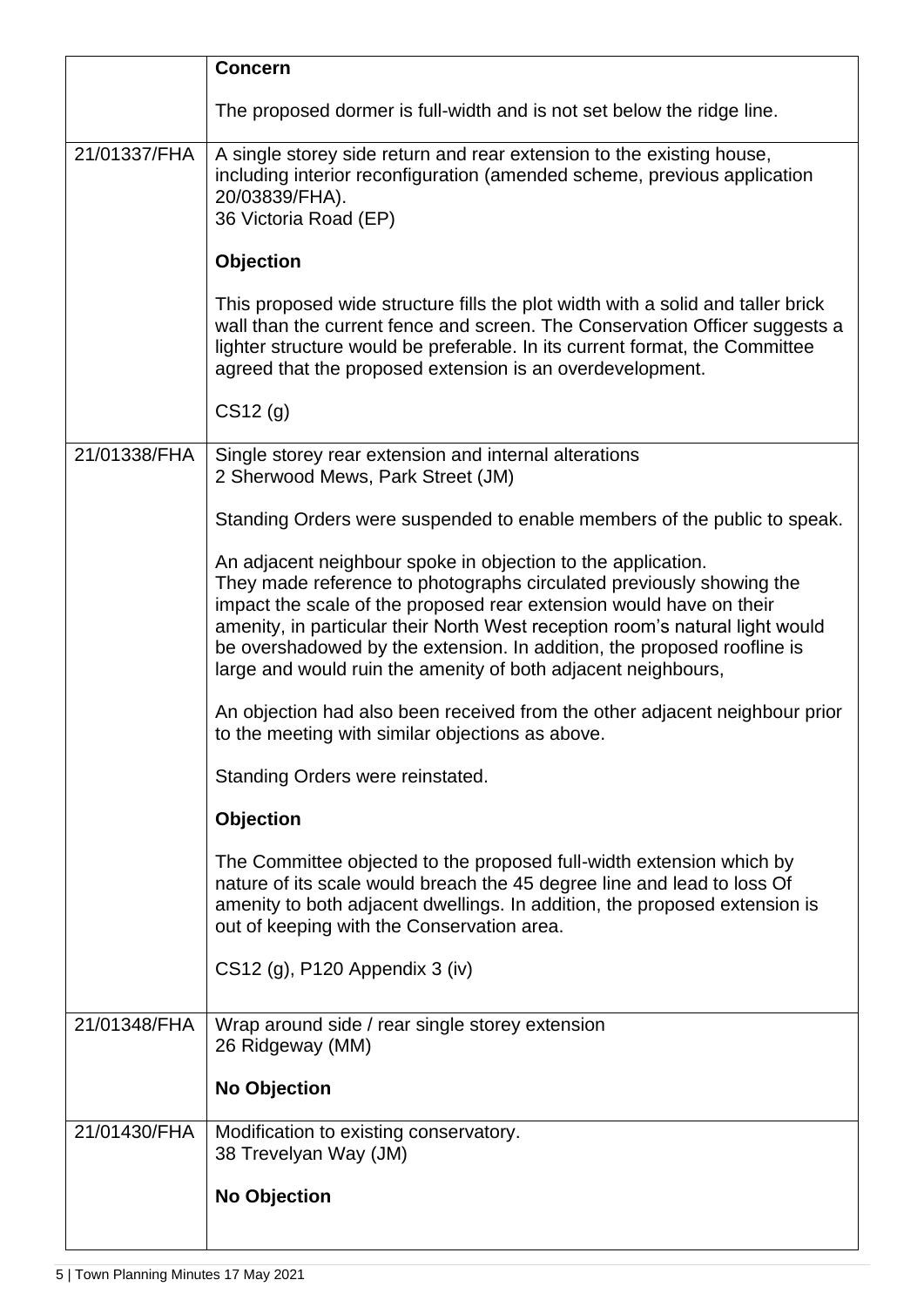|              | <b>Concern</b>                                                                                                                                                                                                                                                                                                                                                                                                                          |
|--------------|-----------------------------------------------------------------------------------------------------------------------------------------------------------------------------------------------------------------------------------------------------------------------------------------------------------------------------------------------------------------------------------------------------------------------------------------|
|              | The proposed dormer is full-width and is not set below the ridge line.                                                                                                                                                                                                                                                                                                                                                                  |
| 21/01337/FHA | A single storey side return and rear extension to the existing house,<br>including interior reconfiguration (amended scheme, previous application<br>20/03839/FHA).<br>36 Victoria Road (EP)                                                                                                                                                                                                                                            |
|              | <b>Objection</b>                                                                                                                                                                                                                                                                                                                                                                                                                        |
|              | This proposed wide structure fills the plot width with a solid and taller brick<br>wall than the current fence and screen. The Conservation Officer suggests a<br>lighter structure would be preferable. In its current format, the Committee<br>agreed that the proposed extension is an overdevelopment.                                                                                                                              |
|              | CS12(g)                                                                                                                                                                                                                                                                                                                                                                                                                                 |
| 21/01338/FHA | Single storey rear extension and internal alterations<br>2 Sherwood Mews, Park Street (JM)                                                                                                                                                                                                                                                                                                                                              |
|              | Standing Orders were suspended to enable members of the public to speak.                                                                                                                                                                                                                                                                                                                                                                |
|              | An adjacent neighbour spoke in objection to the application.<br>They made reference to photographs circulated previously showing the<br>impact the scale of the proposed rear extension would have on their<br>amenity, in particular their North West reception room's natural light would<br>be overshadowed by the extension. In addition, the proposed roofline is<br>large and would ruin the amenity of both adjacent neighbours, |
|              | An objection had also been received from the other adjacent neighbour prior<br>to the meeting with similar objections as above.                                                                                                                                                                                                                                                                                                         |
|              | Standing Orders were reinstated.                                                                                                                                                                                                                                                                                                                                                                                                        |
|              | <b>Objection</b>                                                                                                                                                                                                                                                                                                                                                                                                                        |
|              | The Committee objected to the proposed full-width extension which by<br>nature of its scale would breach the 45 degree line and lead to loss Of<br>amenity to both adjacent dwellings. In addition, the proposed extension is<br>out of keeping with the Conservation area.                                                                                                                                                             |
|              | CS12 (g), P120 Appendix 3 (iv)                                                                                                                                                                                                                                                                                                                                                                                                          |
| 21/01348/FHA | Wrap around side / rear single storey extension<br>26 Ridgeway (MM)                                                                                                                                                                                                                                                                                                                                                                     |
|              | <b>No Objection</b>                                                                                                                                                                                                                                                                                                                                                                                                                     |
| 21/01430/FHA | Modification to existing conservatory.<br>38 Trevelyan Way (JM)                                                                                                                                                                                                                                                                                                                                                                         |
|              | <b>No Objection</b>                                                                                                                                                                                                                                                                                                                                                                                                                     |
|              |                                                                                                                                                                                                                                                                                                                                                                                                                                         |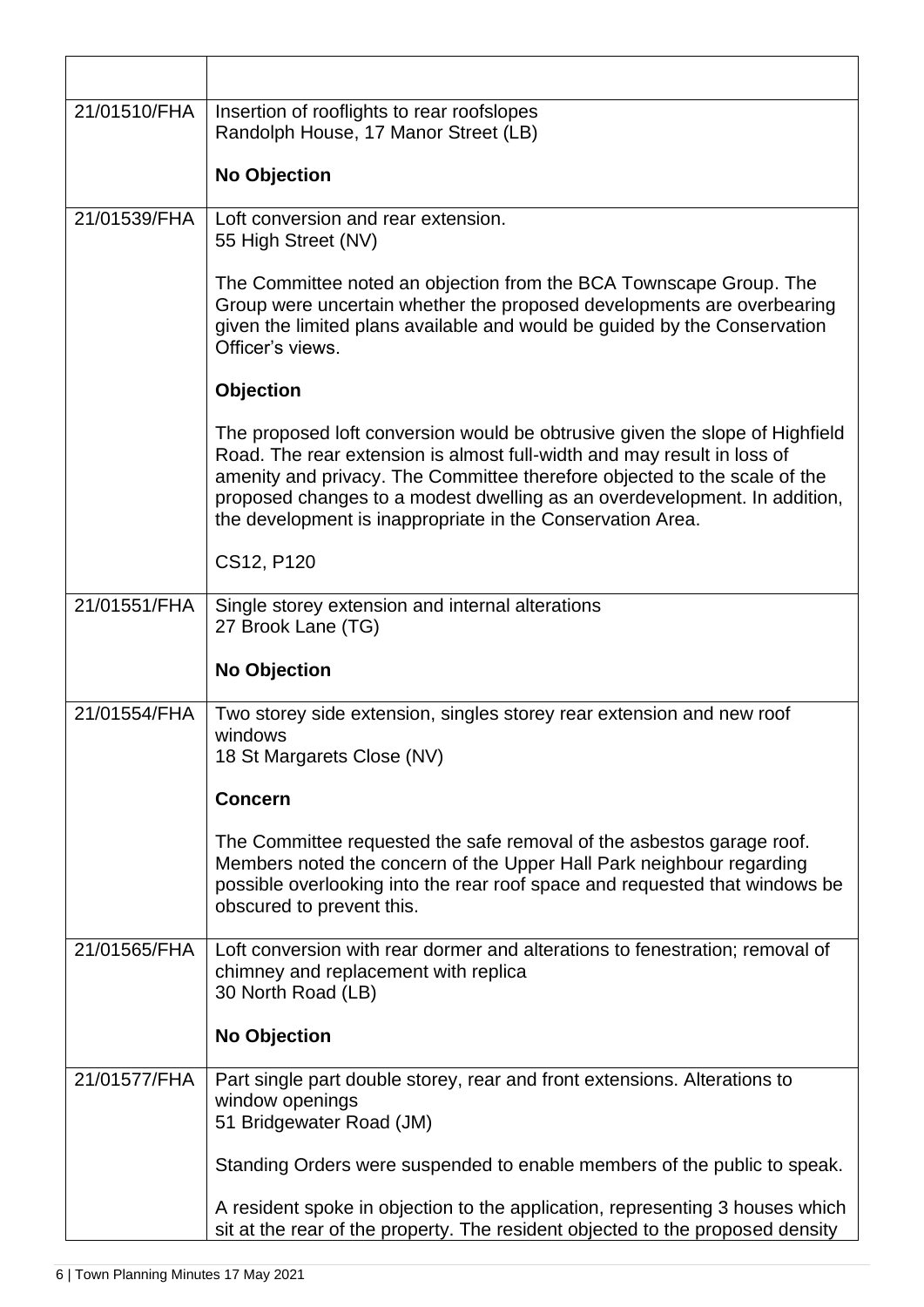| 21/01510/FHA | Insertion of rooflights to rear roofslopes                                                                                                                                                                                                                                                                                                                                      |
|--------------|---------------------------------------------------------------------------------------------------------------------------------------------------------------------------------------------------------------------------------------------------------------------------------------------------------------------------------------------------------------------------------|
|              | Randolph House, 17 Manor Street (LB)                                                                                                                                                                                                                                                                                                                                            |
|              | <b>No Objection</b>                                                                                                                                                                                                                                                                                                                                                             |
| 21/01539/FHA | Loft conversion and rear extension.<br>55 High Street (NV)                                                                                                                                                                                                                                                                                                                      |
|              | The Committee noted an objection from the BCA Townscape Group. The<br>Group were uncertain whether the proposed developments are overbearing<br>given the limited plans available and would be guided by the Conservation<br>Officer's views.                                                                                                                                   |
|              | <b>Objection</b>                                                                                                                                                                                                                                                                                                                                                                |
|              | The proposed loft conversion would be obtrusive given the slope of Highfield<br>Road. The rear extension is almost full-width and may result in loss of<br>amenity and privacy. The Committee therefore objected to the scale of the<br>proposed changes to a modest dwelling as an overdevelopment. In addition,<br>the development is inappropriate in the Conservation Area. |
|              | CS12, P120                                                                                                                                                                                                                                                                                                                                                                      |
| 21/01551/FHA | Single storey extension and internal alterations<br>27 Brook Lane (TG)                                                                                                                                                                                                                                                                                                          |
|              |                                                                                                                                                                                                                                                                                                                                                                                 |
|              | <b>No Objection</b>                                                                                                                                                                                                                                                                                                                                                             |
| 21/01554/FHA | Two storey side extension, singles storey rear extension and new roof<br>windows<br>18 St Margarets Close (NV)                                                                                                                                                                                                                                                                  |
|              | <b>Concern</b>                                                                                                                                                                                                                                                                                                                                                                  |
|              | The Committee requested the safe removal of the asbestos garage roof.<br>Members noted the concern of the Upper Hall Park neighbour regarding<br>possible overlooking into the rear roof space and requested that windows be<br>obscured to prevent this.                                                                                                                       |
| 21/01565/FHA | Loft conversion with rear dormer and alterations to fenestration; removal of<br>chimney and replacement with replica<br>30 North Road (LB)                                                                                                                                                                                                                                      |
|              | <b>No Objection</b>                                                                                                                                                                                                                                                                                                                                                             |
| 21/01577/FHA | Part single part double storey, rear and front extensions. Alterations to<br>window openings<br>51 Bridgewater Road (JM)                                                                                                                                                                                                                                                        |
|              | Standing Orders were suspended to enable members of the public to speak.                                                                                                                                                                                                                                                                                                        |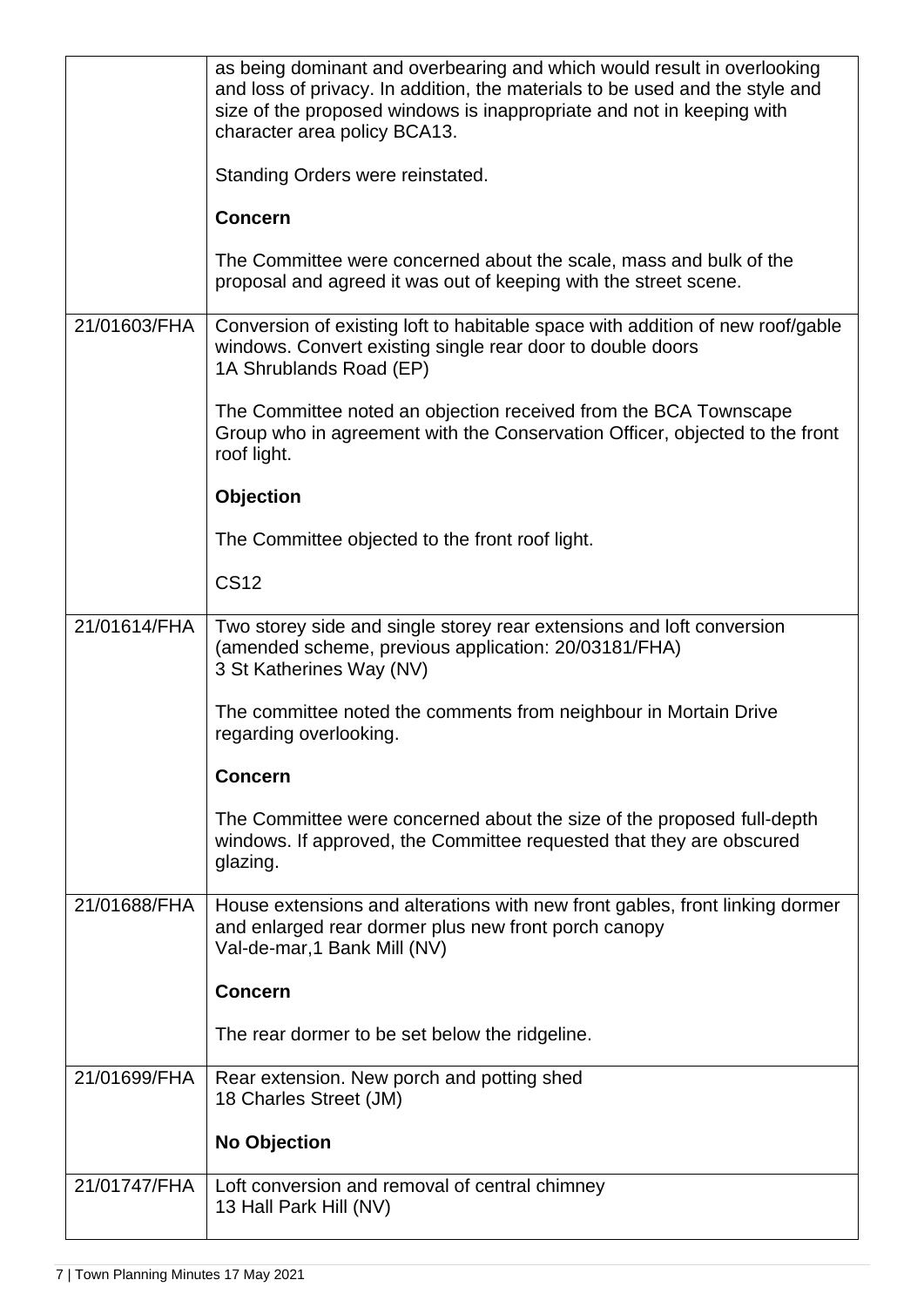| 21/01747/FHA | Loft conversion and removal of central chimney<br>13 Hall Park Hill (NV)                                                                                                                                                                                         |
|--------------|------------------------------------------------------------------------------------------------------------------------------------------------------------------------------------------------------------------------------------------------------------------|
|              | <b>No Objection</b>                                                                                                                                                                                                                                              |
| 21/01699/FHA | Rear extension. New porch and potting shed<br>18 Charles Street (JM)                                                                                                                                                                                             |
|              | The rear dormer to be set below the ridgeline.                                                                                                                                                                                                                   |
|              | <b>Concern</b>                                                                                                                                                                                                                                                   |
| 21/01688/FHA | House extensions and alterations with new front gables, front linking dormer<br>and enlarged rear dormer plus new front porch canopy<br>Val-de-mar, 1 Bank Mill (NV)                                                                                             |
|              | The Committee were concerned about the size of the proposed full-depth<br>windows. If approved, the Committee requested that they are obscured<br>glazing.                                                                                                       |
|              | <b>Concern</b>                                                                                                                                                                                                                                                   |
|              | The committee noted the comments from neighbour in Mortain Drive<br>regarding overlooking.                                                                                                                                                                       |
| 21/01614/FHA | Two storey side and single storey rear extensions and loft conversion<br>(amended scheme, previous application: 20/03181/FHA)<br>3 St Katherines Way (NV)                                                                                                        |
|              | <b>CS12</b>                                                                                                                                                                                                                                                      |
|              | The Committee objected to the front roof light.                                                                                                                                                                                                                  |
|              | <b>Objection</b>                                                                                                                                                                                                                                                 |
|              | The Committee noted an objection received from the BCA Townscape<br>Group who in agreement with the Conservation Officer, objected to the front<br>roof light.                                                                                                   |
| 21/01603/FHA | Conversion of existing loft to habitable space with addition of new roof/gable<br>windows. Convert existing single rear door to double doors<br>1A Shrublands Road (EP)                                                                                          |
|              | The Committee were concerned about the scale, mass and bulk of the<br>proposal and agreed it was out of keeping with the street scene.                                                                                                                           |
|              | <b>Concern</b>                                                                                                                                                                                                                                                   |
|              | Standing Orders were reinstated.                                                                                                                                                                                                                                 |
|              | as being dominant and overbearing and which would result in overlooking<br>and loss of privacy. In addition, the materials to be used and the style and<br>size of the proposed windows is inappropriate and not in keeping with<br>character area policy BCA13. |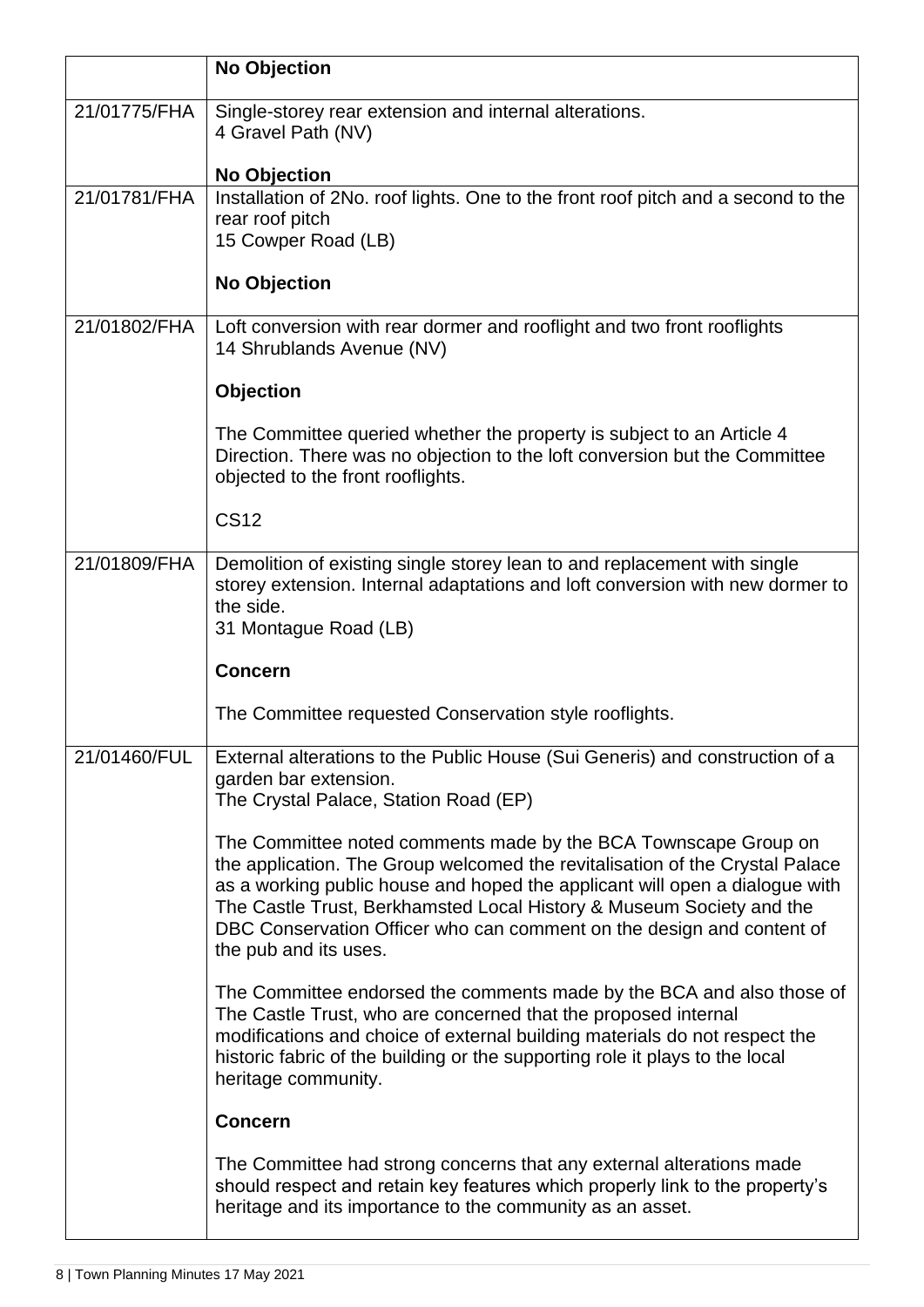|              | <b>No Objection</b>                                                                                                                                                                                                                                                                                                                                                                                      |
|--------------|----------------------------------------------------------------------------------------------------------------------------------------------------------------------------------------------------------------------------------------------------------------------------------------------------------------------------------------------------------------------------------------------------------|
| 21/01775/FHA | Single-storey rear extension and internal alterations.<br>4 Gravel Path (NV)                                                                                                                                                                                                                                                                                                                             |
|              | <b>No Objection</b>                                                                                                                                                                                                                                                                                                                                                                                      |
| 21/01781/FHA | Installation of 2No. roof lights. One to the front roof pitch and a second to the<br>rear roof pitch<br>15 Cowper Road (LB)                                                                                                                                                                                                                                                                              |
|              | <b>No Objection</b>                                                                                                                                                                                                                                                                                                                                                                                      |
| 21/01802/FHA | Loft conversion with rear dormer and rooflight and two front rooflights<br>14 Shrublands Avenue (NV)                                                                                                                                                                                                                                                                                                     |
|              | <b>Objection</b>                                                                                                                                                                                                                                                                                                                                                                                         |
|              | The Committee queried whether the property is subject to an Article 4<br>Direction. There was no objection to the loft conversion but the Committee<br>objected to the front rooflights.                                                                                                                                                                                                                 |
|              | <b>CS12</b>                                                                                                                                                                                                                                                                                                                                                                                              |
| 21/01809/FHA | Demolition of existing single storey lean to and replacement with single<br>storey extension. Internal adaptations and loft conversion with new dormer to<br>the side.<br>31 Montague Road (LB)                                                                                                                                                                                                          |
|              | <b>Concern</b>                                                                                                                                                                                                                                                                                                                                                                                           |
|              | The Committee requested Conservation style rooflights.                                                                                                                                                                                                                                                                                                                                                   |
| 21/01460/FUL | External alterations to the Public House (Sui Generis) and construction of a<br>garden bar extension.<br>The Crystal Palace, Station Road (EP)                                                                                                                                                                                                                                                           |
|              | The Committee noted comments made by the BCA Townscape Group on<br>the application. The Group welcomed the revitalisation of the Crystal Palace<br>as a working public house and hoped the applicant will open a dialogue with<br>The Castle Trust, Berkhamsted Local History & Museum Society and the<br>DBC Conservation Officer who can comment on the design and content of<br>the pub and its uses. |
|              | The Committee endorsed the comments made by the BCA and also those of<br>The Castle Trust, who are concerned that the proposed internal<br>modifications and choice of external building materials do not respect the<br>historic fabric of the building or the supporting role it plays to the local<br>heritage community.                                                                             |
|              | <b>Concern</b>                                                                                                                                                                                                                                                                                                                                                                                           |
|              | The Committee had strong concerns that any external alterations made<br>should respect and retain key features which properly link to the property's<br>heritage and its importance to the community as an asset.                                                                                                                                                                                        |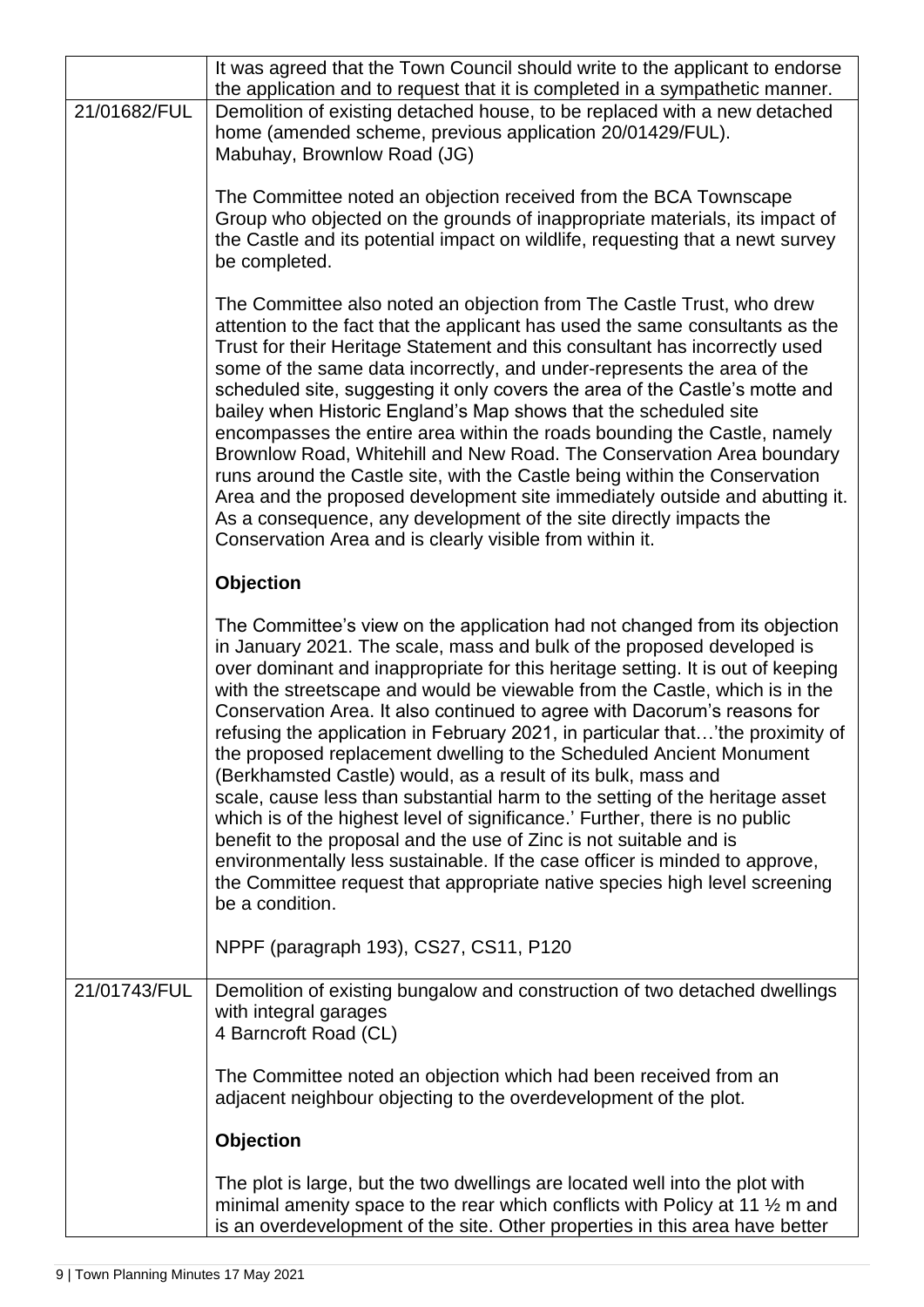|              | It was agreed that the Town Council should write to the applicant to endorse<br>the application and to request that it is completed in a sympathetic manner.                                                                                                                                                                                                                                                                                                                                                                                                                                                                                                                                                                                                                                                                                                                                                                                                                                                                                      |
|--------------|---------------------------------------------------------------------------------------------------------------------------------------------------------------------------------------------------------------------------------------------------------------------------------------------------------------------------------------------------------------------------------------------------------------------------------------------------------------------------------------------------------------------------------------------------------------------------------------------------------------------------------------------------------------------------------------------------------------------------------------------------------------------------------------------------------------------------------------------------------------------------------------------------------------------------------------------------------------------------------------------------------------------------------------------------|
| 21/01682/FUL | Demolition of existing detached house, to be replaced with a new detached<br>home (amended scheme, previous application 20/01429/FUL).<br>Mabuhay, Brownlow Road (JG)                                                                                                                                                                                                                                                                                                                                                                                                                                                                                                                                                                                                                                                                                                                                                                                                                                                                             |
|              | The Committee noted an objection received from the BCA Townscape<br>Group who objected on the grounds of inappropriate materials, its impact of<br>the Castle and its potential impact on wildlife, requesting that a newt survey<br>be completed.                                                                                                                                                                                                                                                                                                                                                                                                                                                                                                                                                                                                                                                                                                                                                                                                |
|              | The Committee also noted an objection from The Castle Trust, who drew<br>attention to the fact that the applicant has used the same consultants as the<br>Trust for their Heritage Statement and this consultant has incorrectly used<br>some of the same data incorrectly, and under-represents the area of the<br>scheduled site, suggesting it only covers the area of the Castle's motte and<br>bailey when Historic England's Map shows that the scheduled site<br>encompasses the entire area within the roads bounding the Castle, namely<br>Brownlow Road, Whitehill and New Road. The Conservation Area boundary<br>runs around the Castle site, with the Castle being within the Conservation<br>Area and the proposed development site immediately outside and abutting it.<br>As a consequence, any development of the site directly impacts the<br>Conservation Area and is clearly visible from within it.                                                                                                                          |
|              | <b>Objection</b>                                                                                                                                                                                                                                                                                                                                                                                                                                                                                                                                                                                                                                                                                                                                                                                                                                                                                                                                                                                                                                  |
|              | The Committee's view on the application had not changed from its objection<br>in January 2021. The scale, mass and bulk of the proposed developed is<br>over dominant and inappropriate for this heritage setting. It is out of keeping<br>with the streetscape and would be viewable from the Castle, which is in the<br>Conservation Area. It also continued to agree with Dacorum's reasons for<br>refusing the application in February 2021, in particular that'the proximity of<br>the proposed replacement dwelling to the Scheduled Ancient Monument<br>(Berkhamsted Castle) would, as a result of its bulk, mass and<br>scale, cause less than substantial harm to the setting of the heritage asset<br>which is of the highest level of significance.' Further, there is no public<br>benefit to the proposal and the use of Zinc is not suitable and is<br>environmentally less sustainable. If the case officer is minded to approve,<br>the Committee request that appropriate native species high level screening<br>be a condition. |
|              | NPPF (paragraph 193), CS27, CS11, P120                                                                                                                                                                                                                                                                                                                                                                                                                                                                                                                                                                                                                                                                                                                                                                                                                                                                                                                                                                                                            |
| 21/01743/FUL | Demolition of existing bungalow and construction of two detached dwellings<br>with integral garages<br>4 Barncroft Road (CL)                                                                                                                                                                                                                                                                                                                                                                                                                                                                                                                                                                                                                                                                                                                                                                                                                                                                                                                      |
|              | The Committee noted an objection which had been received from an<br>adjacent neighbour objecting to the overdevelopment of the plot.                                                                                                                                                                                                                                                                                                                                                                                                                                                                                                                                                                                                                                                                                                                                                                                                                                                                                                              |
|              | <b>Objection</b>                                                                                                                                                                                                                                                                                                                                                                                                                                                                                                                                                                                                                                                                                                                                                                                                                                                                                                                                                                                                                                  |
|              | The plot is large, but the two dwellings are located well into the plot with<br>minimal amenity space to the rear which conflicts with Policy at 11 1/2 m and<br>is an overdevelopment of the site. Other properties in this area have better                                                                                                                                                                                                                                                                                                                                                                                                                                                                                                                                                                                                                                                                                                                                                                                                     |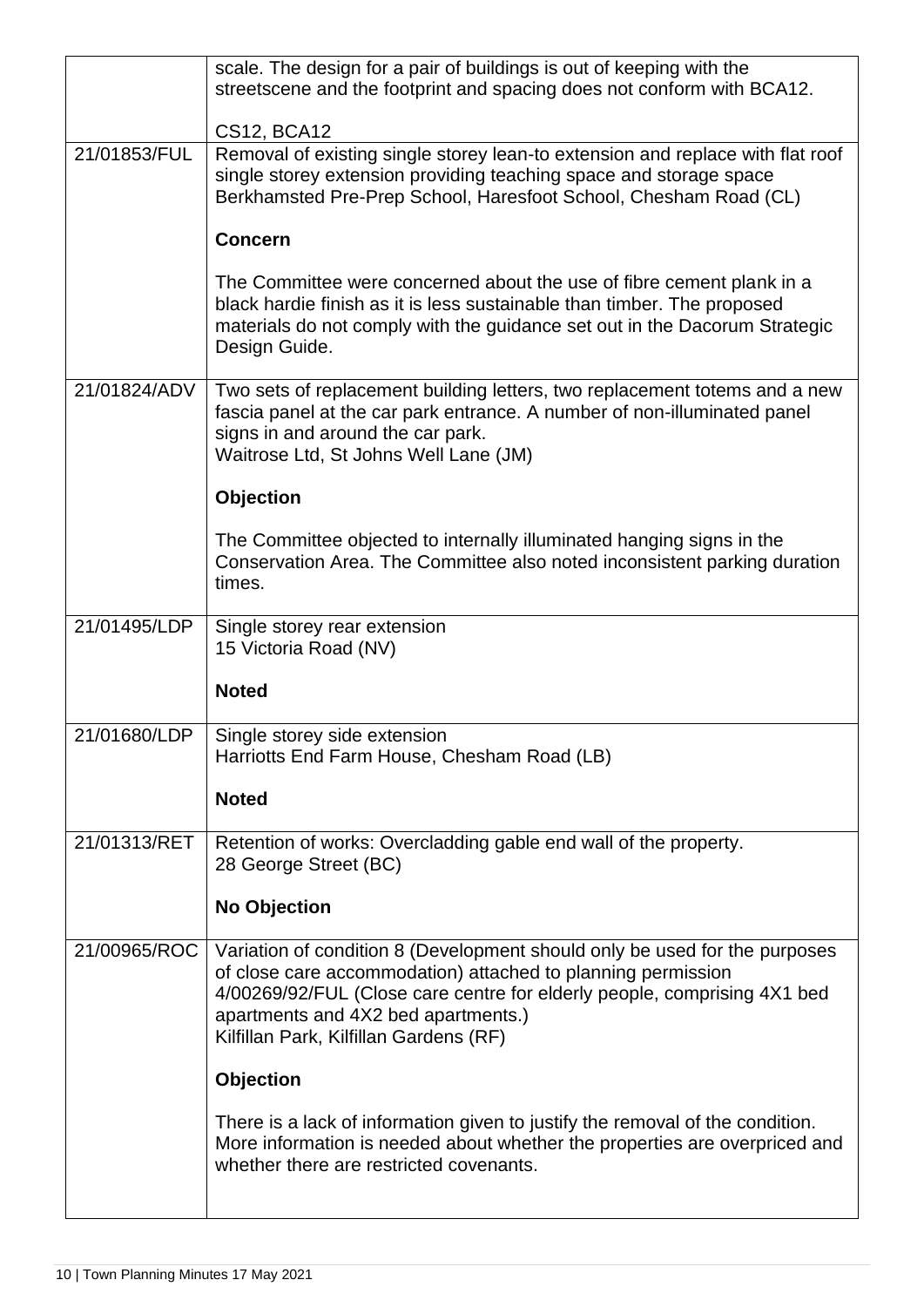|              | scale. The design for a pair of buildings is out of keeping with the<br>streetscene and the footprint and spacing does not conform with BCA12.                                                                                                                                                          |
|--------------|---------------------------------------------------------------------------------------------------------------------------------------------------------------------------------------------------------------------------------------------------------------------------------------------------------|
|              | CS12, BCA12                                                                                                                                                                                                                                                                                             |
| 21/01853/FUL | Removal of existing single storey lean-to extension and replace with flat roof<br>single storey extension providing teaching space and storage space<br>Berkhamsted Pre-Prep School, Haresfoot School, Chesham Road (CL)                                                                                |
|              | <b>Concern</b>                                                                                                                                                                                                                                                                                          |
|              | The Committee were concerned about the use of fibre cement plank in a<br>black hardie finish as it is less sustainable than timber. The proposed<br>materials do not comply with the guidance set out in the Dacorum Strategic<br>Design Guide.                                                         |
| 21/01824/ADV | Two sets of replacement building letters, two replacement totems and a new<br>fascia panel at the car park entrance. A number of non-illuminated panel<br>signs in and around the car park.<br>Waitrose Ltd, St Johns Well Lane (JM)                                                                    |
|              | <b>Objection</b>                                                                                                                                                                                                                                                                                        |
|              | The Committee objected to internally illuminated hanging signs in the<br>Conservation Area. The Committee also noted inconsistent parking duration<br>times.                                                                                                                                            |
| 21/01495/LDP | Single storey rear extension<br>15 Victoria Road (NV)                                                                                                                                                                                                                                                   |
|              | <b>Noted</b>                                                                                                                                                                                                                                                                                            |
| 21/01680/LDP | Single storey side extension<br>Harriotts End Farm House, Chesham Road (LB)                                                                                                                                                                                                                             |
|              | <b>Noted</b>                                                                                                                                                                                                                                                                                            |
| 21/01313/RET | Retention of works: Overcladding gable end wall of the property.<br>28 George Street (BC)                                                                                                                                                                                                               |
|              | <b>No Objection</b>                                                                                                                                                                                                                                                                                     |
| 21/00965/ROC | Variation of condition 8 (Development should only be used for the purposes<br>of close care accommodation) attached to planning permission<br>4/00269/92/FUL (Close care centre for elderly people, comprising 4X1 bed<br>apartments and 4X2 bed apartments.)<br>Kilfillan Park, Kilfillan Gardens (RF) |
|              | <b>Objection</b>                                                                                                                                                                                                                                                                                        |
|              | There is a lack of information given to justify the removal of the condition.<br>More information is needed about whether the properties are overpriced and<br>whether there are restricted covenants.                                                                                                  |
|              |                                                                                                                                                                                                                                                                                                         |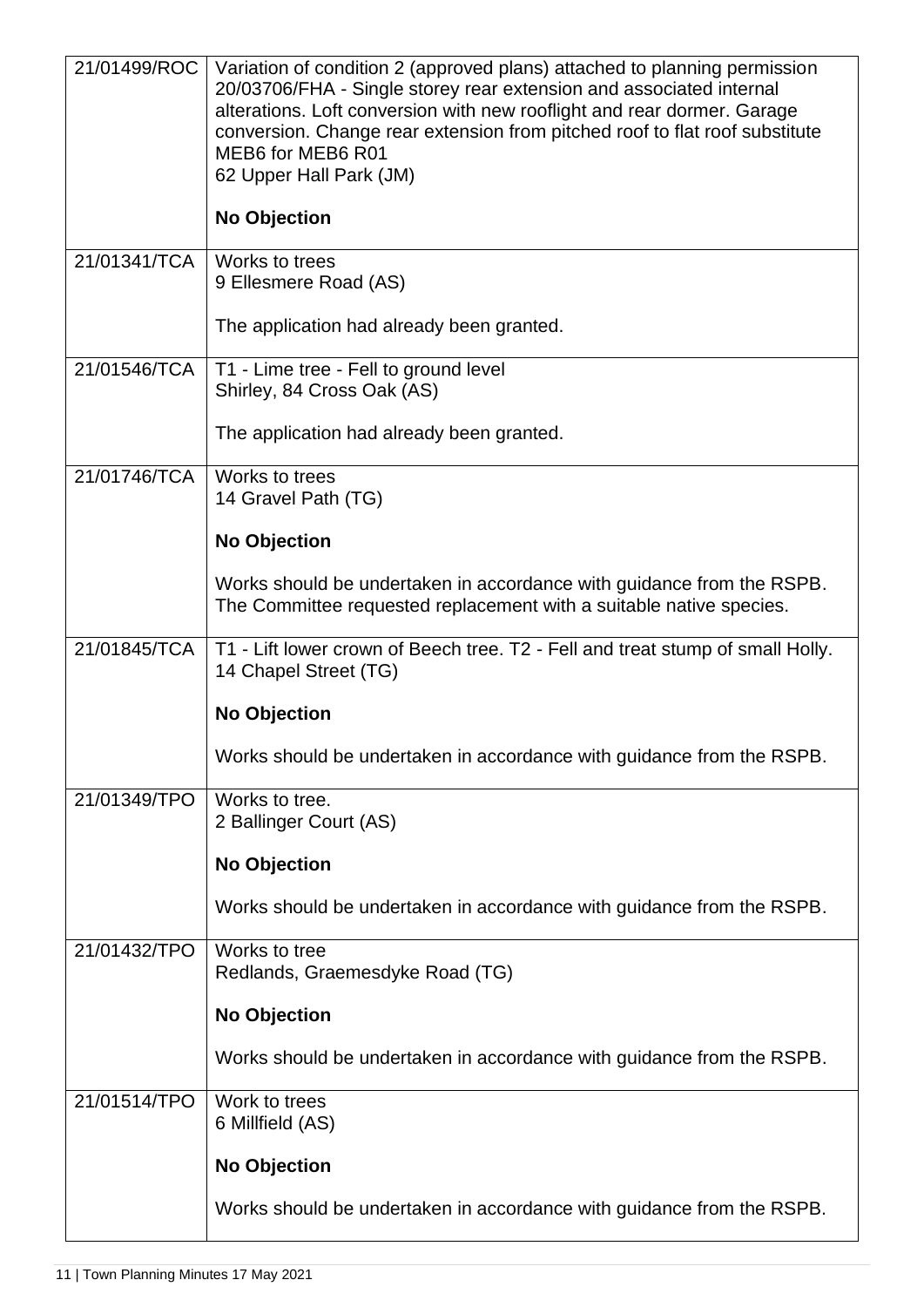| 21/01499/ROC | Variation of condition 2 (approved plans) attached to planning permission<br>20/03706/FHA - Single storey rear extension and associated internal<br>alterations. Loft conversion with new rooflight and rear dormer. Garage<br>conversion. Change rear extension from pitched roof to flat roof substitute<br>MEB6 for MEB6 R01<br>62 Upper Hall Park (JM) |
|--------------|------------------------------------------------------------------------------------------------------------------------------------------------------------------------------------------------------------------------------------------------------------------------------------------------------------------------------------------------------------|
|              | <b>No Objection</b>                                                                                                                                                                                                                                                                                                                                        |
| 21/01341/TCA | Works to trees<br>9 Ellesmere Road (AS)                                                                                                                                                                                                                                                                                                                    |
|              | The application had already been granted.                                                                                                                                                                                                                                                                                                                  |
| 21/01546/TCA | T1 - Lime tree - Fell to ground level<br>Shirley, 84 Cross Oak (AS)                                                                                                                                                                                                                                                                                        |
|              | The application had already been granted.                                                                                                                                                                                                                                                                                                                  |
| 21/01746/TCA | Works to trees<br>14 Gravel Path (TG)                                                                                                                                                                                                                                                                                                                      |
|              | <b>No Objection</b>                                                                                                                                                                                                                                                                                                                                        |
|              | Works should be undertaken in accordance with guidance from the RSPB.<br>The Committee requested replacement with a suitable native species.                                                                                                                                                                                                               |
| 21/01845/TCA | T1 - Lift lower crown of Beech tree. T2 - Fell and treat stump of small Holly.<br>14 Chapel Street (TG)                                                                                                                                                                                                                                                    |
|              | <b>No Objection</b>                                                                                                                                                                                                                                                                                                                                        |
|              | Works should be undertaken in accordance with guidance from the RSPB.                                                                                                                                                                                                                                                                                      |
| 21/01349/TPO | Works to tree.<br>2 Ballinger Court (AS)                                                                                                                                                                                                                                                                                                                   |
|              | <b>No Objection</b>                                                                                                                                                                                                                                                                                                                                        |
|              | Works should be undertaken in accordance with guidance from the RSPB.                                                                                                                                                                                                                                                                                      |
| 21/01432/TPO | Works to tree<br>Redlands, Graemesdyke Road (TG)                                                                                                                                                                                                                                                                                                           |
|              | <b>No Objection</b>                                                                                                                                                                                                                                                                                                                                        |
|              | Works should be undertaken in accordance with guidance from the RSPB.                                                                                                                                                                                                                                                                                      |
| 21/01514/TPO | Work to trees<br>6 Millfield (AS)                                                                                                                                                                                                                                                                                                                          |
|              | <b>No Objection</b>                                                                                                                                                                                                                                                                                                                                        |
|              | Works should be undertaken in accordance with guidance from the RSPB.                                                                                                                                                                                                                                                                                      |